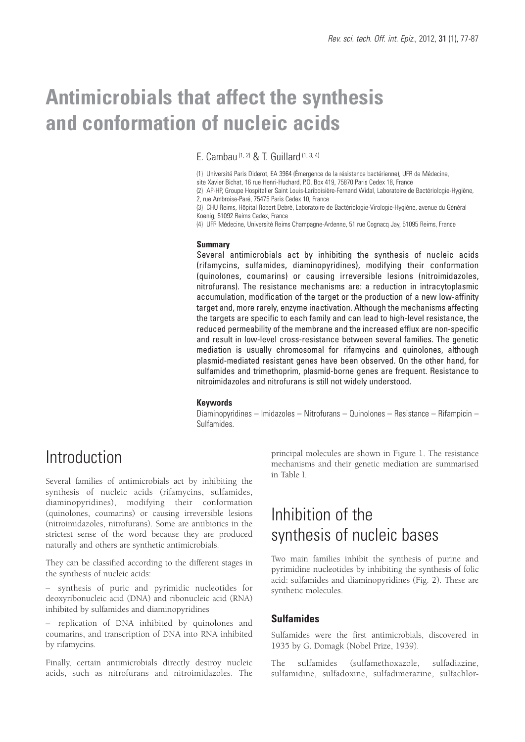# **Antimicrobials that affect the synthesis and conformation of nucleic acids**

*E. Cambau (1, 2) & T. Guillard (1, 3, 4)* 

*(1) Université Paris Diderot, EA 3964 (Émergence de la résistance bactérienne), UFR de Médecine,* 

*site Xavier Bichat, 16 rue Henri-Huchard, P.O. Box 419, 75870 Paris Cedex 18, France (2) AP-HP, Groupe Hospitalier Saint Louis-Lariboisière-Fernand Widal, Laboratoire de Bactériologie-Hygiène,*

*2, rue Ambroise-Paré, 75475 Paris Cedex 10, France*

*(3) CHU Reims, Hôpital Robert Debré, Laboratoire de Bactériologie-Virologie-Hygiène, avenue du Général Koenig, 51092 Reims Cedex, France*

*(4) UFR Médecine, Université Reims Champagne-Ardenne, 51 rue Cognacq Jay, 51095 Reims, France*

#### **Summary**

Several antimicrobials act by inhibiting the synthesis of nucleic acids (rifamycins, sulfamides, diaminopyridines), modifying their conformation (quinolones, coumarins) or causing irreversible lesions (nitroimidazoles, nitrofurans). The resistance mechanisms are: a reduction in intracytoplasmic accumulation, modification of the target or the production of a new low-affinity target and, more rarely, enzyme inactivation. Although the mechanisms affecting the targets are specific to each family and can lead to high-level resistance, the reduced permeability of the membrane and the increased efflux are non-specific and result in low-level cross-resistance between several families. The genetic mediation is usually chromosomal for rifamycins and quinolones, although plasmid-mediated resistant genes have been observed. On the other hand, for sulfamides and trimethoprim, plasmid-borne genes are frequent. Resistance to nitroimidazoles and nitrofurans is still not widely understood.

#### **Keywords**

*Diaminopyridines – Imidazoles – Nitrofurans – Quinolones – Resistance – Rifampicin – Sulfamides.*

# *Introduction*

Several families of antimicrobials act by inhibiting the synthesis of nucleic acids (rifamycins, sulfamides, diaminopyridines), modifying their conformation (quinolones, coumarins) or causing irreversible lesions (nitroimidazoles, nitrofurans). Some are antibiotics in the strictest sense of the word because they are produced naturally and others are synthetic antimicrobials.

They can be classified according to the different stages in the synthesis of nucleic acids:

– synthesis of puric and pyrimidic nucleotides for deoxyribonucleic acid (DNA) and ribonucleic acid (RNA) inhibited by sulfamides and diaminopyridines

– replication of DNA inhibited by quinolones and coumarins, and transcription of DNA into RNA inhibited by rifamycins.

Finally, certain antimicrobials directly destroy nucleic acids, such as nitrofurans and nitroimidazoles. The

principal molecules are shown in Figure 1. The resistance mechanisms and their genetic mediation are summarised in Table I.

# *Inhibition of the synthesis of nucleic bases*

Two main families inhibit the synthesis of purine and pyrimidine nucleotides by inhibiting the synthesis of folic acid: sulfamides and diaminopyridines (Fig. 2). These are synthetic molecules.

## **Sulfamides**

Sulfamides were the first antimicrobials, discovered in 1935 by G. Domagk (Nobel Prize, 1939).

The sulfamides (sulfamethoxazole, sulfadiazine, sulfamidine, sulfadoxine, sulfadimerazine, sulfachlor-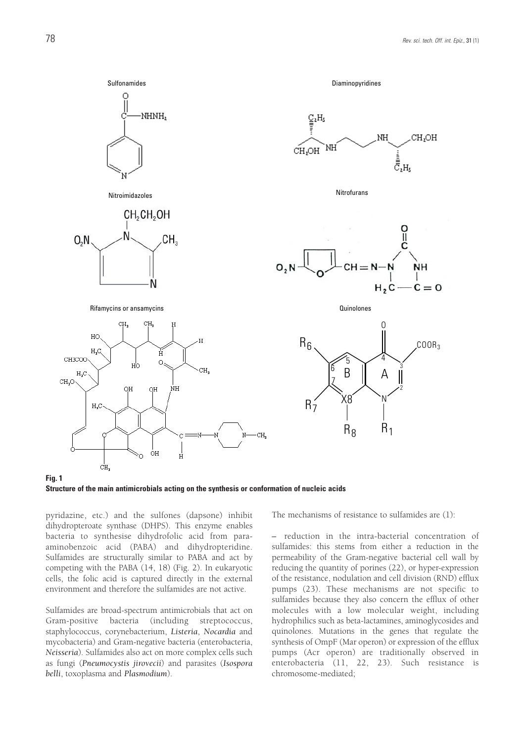

**Structure of the main antimicrobials acting on the synthesis or conformation of nucleic acids**

pyridazine, etc.) and the sulfones (dapsone) inhibit dihydropteroate synthase (DHPS). This enzyme enables bacteria to synthesise dihydrofolic acid from paraaminobenzoic acid (PABA) and dihydropteridine. Sulfamides are structurally similar to PABA and act by competing with the PABA (14, 18) (Fig. 2). In eukaryotic cells, the folic acid is captured directly in the external environment and therefore the sulfamides are not active.

Sulfamides are broad-spectrum antimicrobials that act on Gram-positive bacteria (including streptococcus, staphylococcus, corynebacterium, *Listeria*, *Nocardia* and mycobacteria) and Gram-negative bacteria (enterobacteria, *Neisseria*). Sulfamides also act on more complex cells such as fungi (*Pneumocystis jirovecii*) and parasites (*Isospora belli*, toxoplasma and *Plasmodium*).

The mechanisms of resistance to sulfamides are (1):

*–* reduction in the intra-bacterial concentration of sulfamides: this stems from either a reduction in the permeability of the Gram-negative bacterial cell wall by reducing the quantity of porines (22), or hyper-expression of the resistance, nodulation and cell division (RND) efflux pumps (23). These mechanisms are not specific to sulfamides because they also concern the efflux of other molecules with a low molecular weight, including hydrophilics such as beta-lactamines, aminoglycosides and quinolones. Mutations in the genes that regulate the synthesis of OmpF (Mar operon) or expression of the efflux pumps (Acr operon) are traditionally observed in enterobacteria (11, 22, 23). Such resistance is chromosome-mediated;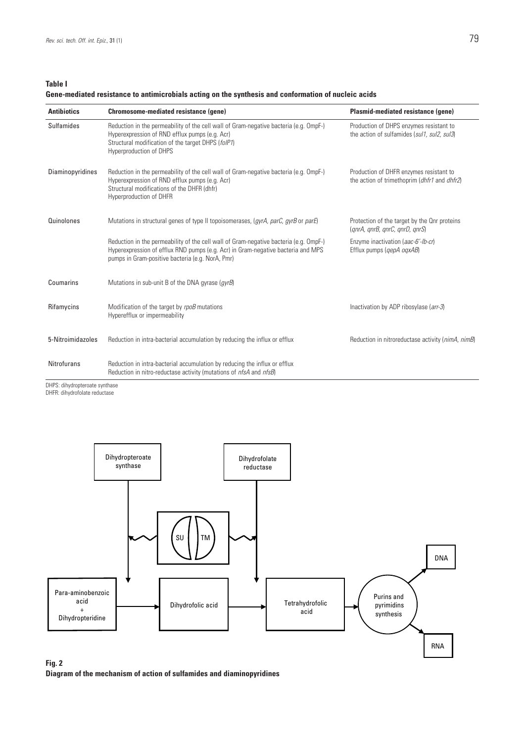**Table I**

## **Gene-mediated resistance to antimicrobials acting on the synthesis and conformation of nucleic acids**

| <b>Antibiotics</b> | Chromosome-mediated resistance (gene)                                                                                                                                                                                           | Plasmid-mediated resistance (gene)                                                             |
|--------------------|---------------------------------------------------------------------------------------------------------------------------------------------------------------------------------------------------------------------------------|------------------------------------------------------------------------------------------------|
| <b>Sulfamides</b>  | Reduction in the permeability of the cell wall of Gram-negative bacteria (e.g. OmpF-)<br>Hyperexpression of RND efflux pumps (e.g. Acr)<br>Structural modification of the target DHPS (folP1)<br><b>Hyperproduction of DHPS</b> | Production of DHPS enzymes resistant to<br>the action of sulfamides (sul1, sul2, sul3)         |
| Diaminopyridines   | Reduction in the permeability of the cell wall of Gram-negative bacteria (e.g. OmpF-)<br>Hyperexpression of RND efflux pumps (e.g. Acr)<br>Structural modifications of the DHFR (dhfr)<br>Hyperproduction of DHFR               | Production of DHFR enzymes resistant to<br>the action of trimethoprim (dhfr1 and dhfr2)        |
| Quinolones         | Mutations in structural genes of type II topoisomerases, (gyrA, parC, gyrB or parE)                                                                                                                                             | Protection of the target by the Onr proteins<br>$\langle qnrA, qnrB, qnrC, qnrD, qnrS \rangle$ |
|                    | Reduction in the permeability of the cell wall of Gram-negative bacteria (e.g. OmpF-)<br>Hyperexpression of efflux RND pumps (e.g. Acr) in Gram-negative bacteria and MPS<br>pumps in Gram-positive bacteria (e.g. NorA, Pmr)   | Enzyme inactivation (aac-6'-lb-cr)<br>Efflux pumps ( <i>gepA ogxAB</i> )                       |
| Coumarins          | Mutations in sub-unit B of the DNA gyrase ( <i>gyrB</i> )                                                                                                                                                                       |                                                                                                |
| Rifamycins         | Modification of the target by rpoB mutations<br>Hyperefflux or impermeability                                                                                                                                                   | Inactivation by ADP ribosylase (arr-3)                                                         |
| 5-Nitroimidazoles  | Reduction in intra-bacterial accumulation by reducing the influx or efflux                                                                                                                                                      | Reduction in nitroreductase activity (nimA, nimB)                                              |
| <b>Nitrofurans</b> | Reduction in intra-bacterial accumulation by reducing the influx or efflux<br>Reduction in nitro-reductase activity (mutations of nfsA and nfsB)                                                                                |                                                                                                |

*DHPS: dihydropteroate synthase*

*DHFR: dihydrofolate reductase*



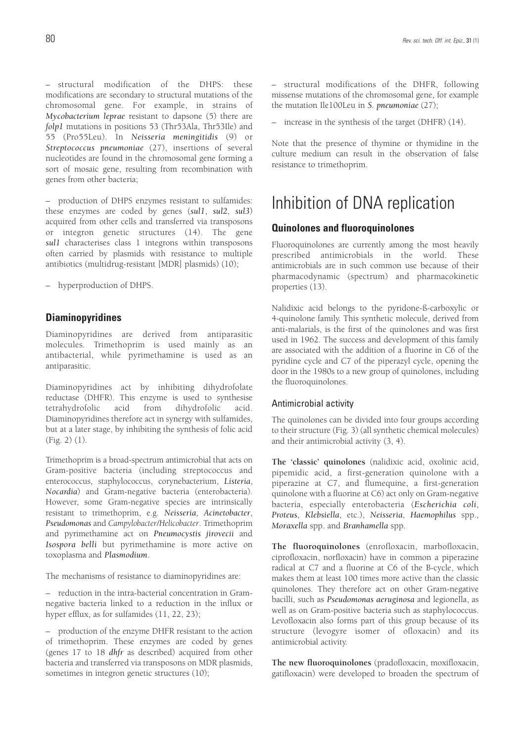– structural modification of the DHPS: these modifications are secondary to structural mutations of the chromosomal gene. For example, in strains of *Mycobacterium leprae* resistant to dapsone (5) there are *folp1* mutations in positions 53 (Thr53Ala, Thr53Ile) and 55 (Pro55Leu). In *Neisseria meningitidis* (9) or *Streptococcus pneumoniae* (27), insertions of several nucleotides are found in the chromosomal gene forming a sort of mosaic gene, resulting from recombination with genes from other bacteria;

– production of DHPS enzymes resistant to sulfamides: these enzymes are coded by genes (*sul1*, *sul2*, *sul3*) acquired from other cells and transferred via transposons or integron genetic structures (14). The gene *sul1* characterises class 1 integrons within transposons often carried by plasmids with resistance to multiple antibiotics (multidrug-resistant [MDR] plasmids) (10);

– hyperproduction of DHPS.

## **Diaminopyridines**

Diaminopyridines are derived from antiparasitic molecules. Trimethoprim is used mainly as an antibacterial, while pyrimethamine is used as an antiparasitic.

Diaminopyridines act by inhibiting dihydrofolate reductase (DHFR). This enzyme is used to synthesise tetrahydrofolic acid from dihydrofolic acid. Diaminopyridines therefore act in synergy with sulfamides, but at a later stage, by inhibiting the synthesis of folic acid (Fig. 2) (1).

Trimethoprim is a broad-spectrum antimicrobial that acts on Gram-positive bacteria (including streptococcus and enterococcus, staphylococcus, corynebacterium, *Listeria*, *Nocardia*) and Gram-negative bacteria (enterobacteria). However, some Gram-negative species are intrinsically resistant to trimethoprim, e.g. *Neisseria*, *Acinetobacter*, *Pseudomonas* and *Campylobacter/Helicobacter*. Trimethoprim and pyrimethamine act on *Pneumocystis jirovecii* and *Isospora belli* but pyrimethamine is more active on toxoplasma and *Plasmodium*.

The mechanisms of resistance to diaminopyridines are:

– reduction in the intra-bacterial concentration in Gramnegative bacteria linked to a reduction in the influx or hyper efflux, as for sulfamides (11, 22, 23);

– production of the enzyme DHFR resistant to the action of trimethoprim. These enzymes are coded by genes (genes 17 to 18 *dhfr* as described) acquired from other bacteria and transferred via transposons on MDR plasmids, sometimes in integron genetic structures (10);

– structural modifications of the DHFR, following missense mutations of the chromosomal gene, for example the mutation Ile100Leu in *S. pneumoniae* (27);

– increase in the synthesis of the target (DHFR) (14).

Note that the presence of thymine or thymidine in the culture medium can result in the observation of false resistance to trimethoprim.

# *Inhibition of DNA replication*

## **Quinolones and fluoroquinolones**

Fluoroquinolones are currently among the most heavily prescribed antimicrobials in the world. These antimicrobials are in such common use because of their pharmacodynamic (spectrum) and pharmacokinetic properties (13).

Nalidixic acid belongs to the pyridone-ß-carboxylic or 4-quinolone family. This synthetic molecule, derived from anti-malarials, is the first of the quinolones and was first used in 1962. The success and development of this family are associated with the addition of a fluorine in C6 of the pyridine cycle and C7 of the piperazyl cycle, opening the door in the 1980s to a new group of quinolones, including the fluoroquinolones.

## Antimicrobial activity

The quinolones can be divided into four groups according to their structure (Fig. 3) (all synthetic chemical molecules) and their antimicrobial activity (3, 4).

**The 'classic' quinolones** (nalidixic acid, oxolinic acid, pipemidic acid, a first-generation quinolone with a piperazine at C7, and flumequine, a first-generation quinolone with a fluorine at C6) act only on Gram-negative bacteria, especially enterobacteria (*Escherichia coli*, *Proteus*, *Klebsiella*, etc.), *Neisseria*, *Haemophilus* spp., *Moraxella* spp. and *Branhamella* spp.

**The fluoroquinolones** (enrofloxacin, marbofloxacin, ciprofloxacin, norfloxacin) have in common a piperazine radical at C7 and a fluorine at C6 of the B-cycle, which makes them at least 100 times more active than the classic quinolones. They therefore act on other Gram-negative bacilli, such as *Pseudomonas aeruginosa* and legionella, as well as on Gram-positive bacteria such as staphylococcus. Levofloxacin also forms part of this group because of its structure (levogyre isomer of ofloxacin) and its antimicrobial activity.

**The new fluoroquinolones** (pradofloxacin, moxifloxacin, gatifloxacin) were developed to broaden the spectrum of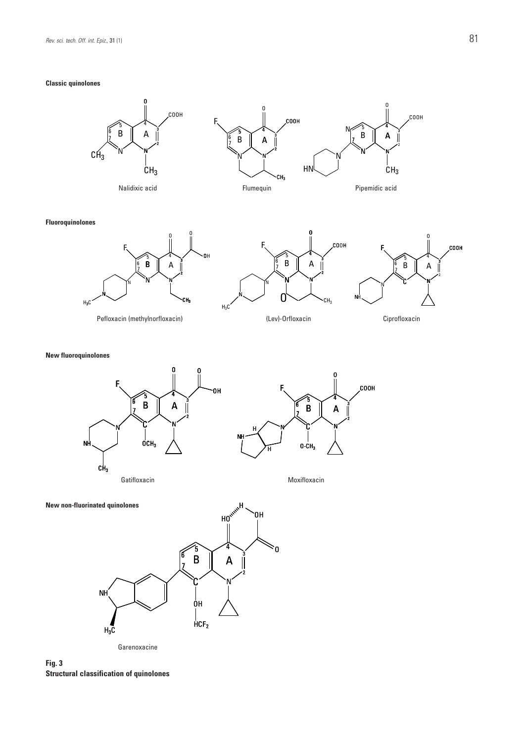## **Classic quinolones**



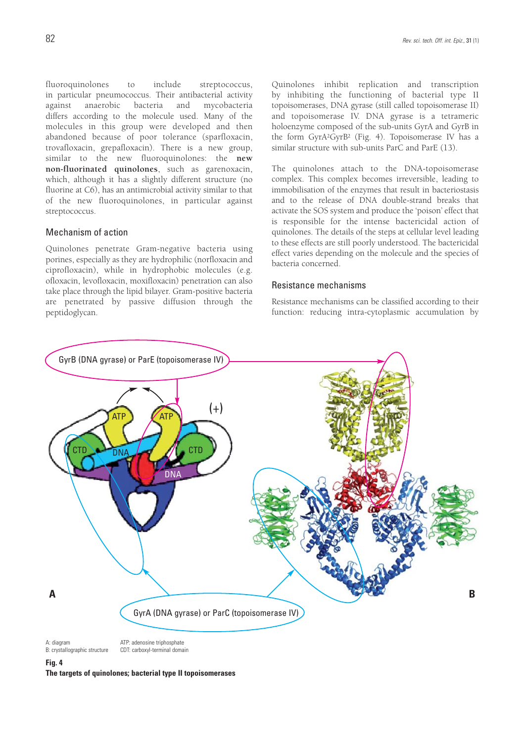fluoroquinolones to include streptococcus, in particular pneumococcus. Their antibacterial activity against anaerobic bacteria and mycobacteria differs according to the molecule used. Many of the molecules in this group were developed and then abandoned because of poor tolerance (sparfloxacin, trovafloxacin, grepafloxacin). There is a new group, similar to the new fluoroquinolones: the **new non-fluorinated quinolones**, such as garenoxacin, which, although it has a slightly different structure (no fluorine at C6), has an antimicrobial activity similar to that of the new fluoroquinolones, in particular against streptococcus.

#### Mechanism of action

Quinolones penetrate Gram-negative bacteria using porines, especially as they are hydrophilic (norfloxacin and ciprofloxacin), while in hydrophobic molecules (e.g. ofloxacin, levofloxacin, moxifloxacin) penetration can also take place through the lipid bilayer. Gram-positive bacteria are penetrated by passive diffusion through the peptidoglycan.

Quinolones inhibit replication and transcription by inhibiting the functioning of bacterial type II topoisomerases, DNA gyrase (still called topoisomerase II) and topoisomerase IV. DNA gyrase is a tetrameric holoenzyme composed of the sub-units GyrA and GyrB in the form GyrA2GyrB2 (Fig. 4). Topoisomerase IV has a similar structure with sub-units ParC and ParE (13).

The quinolones attach to the DNA-topoisomerase complex. This complex becomes irreversible, leading to immobilisation of the enzymes that result in bacteriostasis and to the release of DNA double-strand breaks that activate the SOS system and produce the 'poison' effect that is responsible for the intense bactericidal action of quinolones. The details of the steps at cellular level leading to these effects are still poorly understood. The bactericidal effect varies depending on the molecule and the species of bacteria concerned.

## Resistance mechanisms

Resistance mechanisms can be classified according to their function: reducing intra-cytoplasmic accumulation by



*B: crystallographic structure CDT: carboxyl-terminal domain*

**Fig. 4**

**The targets of quinolones; bacterial type II topoisomerases**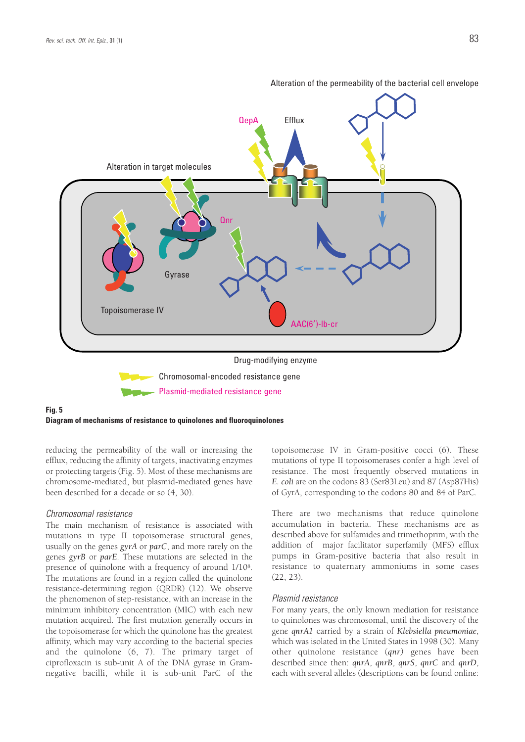

Alteration of the permeability of the bacterial cell envelope

### **Fig. 5 Diagram of mechanisms of resistance to quinolones and fluoroquinolones**

reducing the permeability of the wall or increasing the efflux, reducing the affinity of targets, inactivating enzymes or protecting targets (Fig. 5). Most of these mechanisms are chromosome-mediated, but plasmid-mediated genes have been described for a decade or so (4, 30).

#### *Chromosomal resistance*

The main mechanism of resistance is associated with mutations in type II topoisomerase structural genes, usually on the genes *gyrA* or *parC*, and more rarely on the genes *gyrB* or *parE*. These mutations are selected in the presence of quinolone with a frequency of around 1/108. The mutations are found in a region called the quinolone resistance-determining region (QRDR) (12). We observe the phenomenon of step-resistance, with an increase in the minimum inhibitory concentration (MIC) with each new mutation acquired. The first mutation generally occurs in the topoisomerase for which the quinolone has the greatest affinity, which may vary according to the bacterial species and the quinolone (6, 7). The primary target of ciprofloxacin is sub-unit A of the DNA gyrase in Gramnegative bacilli, while it is sub-unit ParC of the topoisomerase IV in Gram-positive cocci (6). These mutations of type II topoisomerases confer a high level of resistance. The most frequently observed mutations in *E. coli* are on the codons 83 (Ser83Leu) and 87 (Asp87His) of GyrA, corresponding to the codons 80 and 84 of ParC.

There are two mechanisms that reduce quinolone accumulation in bacteria. These mechanisms are as described above for sulfamides and trimethoprim, with the addition of major facilitator superfamily (MFS) efflux pumps in Gram-positive bacteria that also result in resistance to quaternary ammoniums in some cases (22, 23).

#### *Plasmid resistance*

For many years, the only known mediation for resistance to quinolones was chromosomal, until the discovery of the gene *qnrA1* carried by a strain of *Klebsiella pneumoniae*, which was isolated in the United States in 1998 (30). Many other quinolone resistance (*qnr)* genes have been described since then: *qnrA*, *qnrB*, *qnrS*, *qnrC* and *qnrD*, each with several alleles (descriptions can be found online: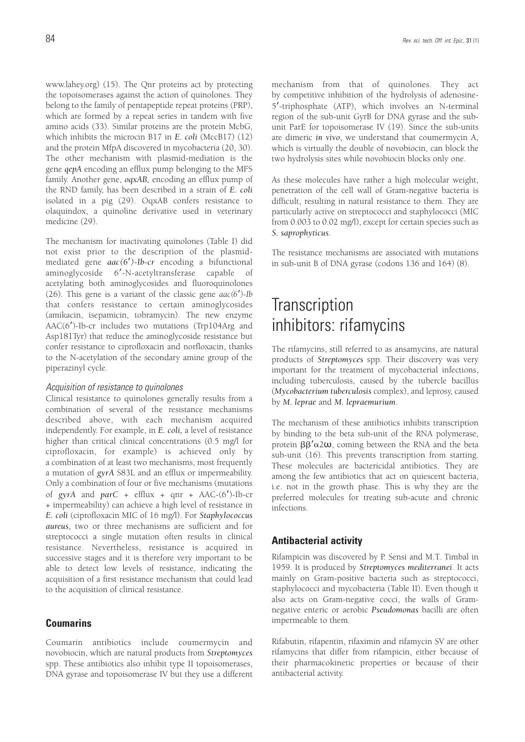www.lahey.org) (15). The Qnr proteins act by protecting the topoisomerases against the action of quinolones. They belong to the family of pentapeptide repeat proteins (PRP), which are formed by a repeat series in tandem with five amino acids (33). Similar proteins are the protein McbG, which inhibits the microcin B17 in *E. coli* (MccB17) (12) and the protein MfpA discovered in mycobacteria (20, 30). The other mechanism with plasmid-mediation is the gene *qepA* encoding an efflux pump belonging to the MFS family. Another gene, *oqxAB,* encoding an efflux pump of the RND family, has been described in a strain of *E. coli* isolated in a pig (29). OqxAB confers resistance to olaquindox, a quinoline derivative used in veterinary medicine (29).

The mechanism for inactivating quinolones (Table I) did not exist prior to the description of the plasmidmediated gene *aac(6*′*)-Ib-cr* encoding a bifunctional aminoglycoside 6′-N-acetyltransferase capable of acetylating both aminoglycosides and fluoroquinolones (26). This gene is a variant of the classic gene *aac(6*′*)-Ib* that confers resistance to certain aminoglycosides (amikacin, isepamicin, tobramycin). The new enzyme AAC(6′)-Ib-cr includes two mutations (Trp104Arg and Asp181Tyr) that reduce the aminoglycoside resistance but confer resistance to ciprofloxacin and norfloxacin, thanks to the N-acetylation of the secondary amine group of the piperazinyl cycle.

## *Acquisition of resistance to quinolones*

Clinical resistance to quinolones generally results from a combination of several of the resistance mechanisms described above, with each mechanism acquired independently. For example, in *E. coli,* a level of resistance higher than critical clinical concentrations (0.5 mg/l for ciprofloxacin, for example) is achieved only by a combination of at least two mechanisms, most frequently a mutation of *gyrA* S83L and an efflux or impermeability. Only a combination of four or five mechanisms (mutations of *gyrA* and *parC* + efflux + qnr + AAC-(6′)-Ib-cr + impermeability) can achieve a high level of resistance in *E. coli* (ciprofloxacin MIC of 16 mg/l). For *Staphylococcus aureus*, two or three mechanisms are sufficient and for streptococci a single mutation often results in clinical resistance. Nevertheless, resistance is acquired in successive stages and it is therefore very important to be able to detect low levels of resistance, indicating the acquisition of a first resistance mechanism that could lead to the acquisition of clinical resistance.

## **Coumarins**

Coumarin antibiotics include coumermycin and novobiocin, which are natural products from *Streptomyces* spp. These antibiotics also inhibit type II topoisomerases, DNA gyrase and topoisomerase IV but they use a different mechanism from that of quinolones. They act by competitive inhibition of the hydrolysis of adenosine-5′-triphosphate (ATP), which involves an N-terminal region of the sub-unit GyrB for DNA gyrase and the subunit ParE for topoisomerase IV (19). Since the sub-units are dimeric *in vivo*, we understand that coumermycin A, which is virtually the double of novobiocin, can block the two hydrolysis sites while novobiocin blocks only one.

As these molecules have rather a high molecular weight, penetration of the cell wall of Gram-negative bacteria is difficult, resulting in natural resistance to them. They are particularly active on streptococci and staphylococci (MIC from 0.003 to 0.02 mg/l), except for certain species such as *S. saprophyticus*.

The resistance mechanisms are associated with mutations in sub-unit B of DNA gyrase (codons 136 and 164) (8).

# *Transcription inhibitors: rifamycins*

The rifamycins, still referred to as ansamycins, are natural products of *Streptomyces* spp. Their discovery was very important for the treatment of mycobacterial infections, including tuberculosis, caused by the tubercle bacillus (*Mycobacterium tuberculosis* complex), and leprosy, caused by *M. leprae* and *M. lepraemurium*.

The mechanism of these antibiotics inhibits transcription by binding to the beta sub-unit of the RNA polymerase, protein  $\beta\beta' \alpha$ 2 $\omega$ , coming between the RNA and the beta sub-unit (16). This prevents transcription from starting. These molecules are bactericidal antibiotics. They are among the few antibiotics that act on quiescent bacteria, i.e. not in the growth phase. This is why they are the preferred molecules for treating sub-acute and chronic infections.

## **Antibacterial activity**

Rifampicin was discovered by P. Sensi and M.T. Timbal in 1959. It is produced by *Streptomyces mediterranei*. It acts mainly on Gram-positive bacteria such as streptococci, staphylococci and mycobacteria (Table II). Even though it also acts on Gram-negative cocci, the walls of Gramnegative enteric or aerobic *Pseudomonas* bacilli are often impermeable to them.

Rifabutin, rifapentin, rifaximin and rifamycin SV are other rifamycins that differ from rifampicin, either because of their pharmacokinetic properties or because of their antibacterial activity.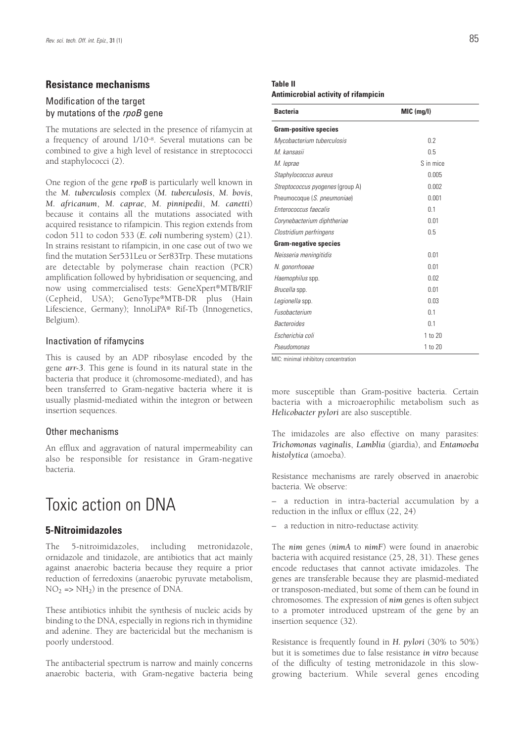## **Resistance mechanisms**

## Modification of the target by mutations of the rpoB gene

The mutations are selected in the presence of rifamycin at a frequency of around 1/10–8. Several mutations can be combined to give a high level of resistance in streptococci and staphylococci (2).

One region of the gene *rpoB* is particularly well known in the *M. tuberculosis* complex (*M. tuberculosis*, *M. bovis*, *M. africanum*, *M. caprae*, *M. pinnipedii*, *M. canetti*) because it contains all the mutations associated with acquired resistance to rifampicin. This region extends from codon 511 to codon 533 (*E. coli* numbering system) (21). In strains resistant to rifampicin, in one case out of two we find the mutation Ser531Leu or Ser83Trp. These mutations are detectable by polymerase chain reaction (PCR) amplification followed by hybridisation or sequencing, and now using commercialised tests: GeneXpert®MTB/RIF (Cepheid, USA); GenoType®MTB-DR plus (Hain Lifescience, Germany); InnoLiPA® Rif-Tb (Innogenetics, Belgium).

### Inactivation of rifamycins

This is caused by an ADP ribosylase encoded by the gene *arr-3*. This gene is found in its natural state in the bacteria that produce it (chromosome-mediated), and has been transferred to Gram-negative bacteria where it is usually plasmid-mediated within the integron or between insertion sequences.

## Other mechanisms

An efflux and aggravation of natural impermeability can also be responsible for resistance in Gram-negative bacteria.

# *Toxic action on DNA*

## **5-Nitroimidazoles**

The 5-nitroimidazoles, including metronidazole, ornidazole and tinidazole, are antibiotics that act mainly against anaerobic bacteria because they require a prior reduction of ferredoxins (anaerobic pyruvate metabolism,  $NO<sub>2</sub>$  =>  $NH<sub>2</sub>$ ) in the presence of DNA.

These antibiotics inhibit the synthesis of nucleic acids by binding to the DNA, especially in regions rich in thymidine and adenine. They are bactericidal but the mechanism is poorly understood.

The antibacterial spectrum is narrow and mainly concerns anaerobic bacteria, with Gram-negative bacteria being

#### **Table II Antimicrobial activity of rifampicin**

| <b>Bacteria</b>                         | MIC (mg/l) |  |  |
|-----------------------------------------|------------|--|--|
| <b>Gram-positive species</b>            |            |  |  |
| Mycobacterium tuberculosis              | 0.2        |  |  |
| M. kansasii                             | 0.5        |  |  |
| M. leprae                               | S in mice  |  |  |
| Staphylococcus aureus                   | 0.005      |  |  |
| <i>Streptococcus pyogenes</i> (group A) | 0.002      |  |  |
| Pneumocoque (S. pneumoniae)             | 0.001      |  |  |
| Enterococcus faecalis                   | 0.1        |  |  |
| Corynebacterium diphtheriae             | 0.01       |  |  |
| Clostridium perfringens                 | 0.5        |  |  |
| <b>Gram-negative species</b>            |            |  |  |
| Neisseria meningitidis                  | 0.01       |  |  |
| N. gonorrhoeae                          | 0.01       |  |  |
| Haemophilus spp.                        | 0.02       |  |  |
| Brucella spp.                           | 0.01       |  |  |
| Legionella spp.                         | 0.03       |  |  |
| Fusobacterium                           | 0.1        |  |  |
| <b>Bacteroides</b>                      | 0.1        |  |  |
| Escherichia coli                        | 1 to 20    |  |  |
| Pseudomonas                             | 1 to 20    |  |  |

*MIC: minimal inhibitory concentration*

more susceptible than Gram-positive bacteria. Certain bacteria with a microaerophilic metabolism such as *Helicobacter pylori* are also susceptible.

The imidazoles are also effective on many parasites: *Trichomonas vaginalis*, *Lamblia* (giardia), and *Entamoeba histolytica* (amoeba).

Resistance mechanisms are rarely observed in anaerobic bacteria. We observe:

– a reduction in intra-bacterial accumulation by a reduction in the influx or efflux (22, 24)

– a reduction in nitro-reductase activity.

The *nim* genes (*nimA* to *nimF*) were found in anaerobic bacteria with acquired resistance (25, 28, 31). These genes encode reductases that cannot activate imidazoles. The genes are transferable because they are plasmid-mediated or transposon-mediated, but some of them can be found in chromosomes. The expression of *nim* genes is often subject to a promoter introduced upstream of the gene by an insertion sequence (32).

Resistance is frequently found in *H. pylori* (30% to 50%) but it is sometimes due to false resistance *in vitro* because of the difficulty of testing metronidazole in this slowgrowing bacterium. While several genes encoding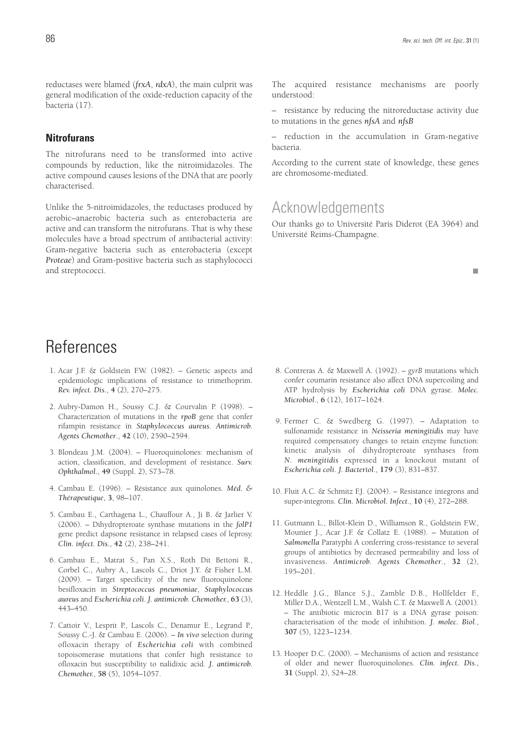reductases were blamed (*frxA*, *rdxA*), the main culprit was general modification of the oxide-reduction capacity of the bacteria (17).

## **Nitrofurans**

The nitrofurans need to be transformed into active compounds by reduction, like the nitroimidazoles. The active compound causes lesions of the DNA that are poorly characterised.

Unlike the 5-nitroimidazoles, the reductases produced by aerobic–anaerobic bacteria such as enterobacteria are active and can transform the nitrofurans. That is why these molecules have a broad spectrum of antibacterial activity: Gram-negative bacteria such as enterobacteria (except *Proteae*) and Gram-positive bacteria such as staphylococci and streptococci.

The acquired resistance mechanisms are poorly understood:

– resistance by reducing the nitroreductase activity due to mutations in the genes *nfsA* and *nfsB*

– reduction in the accumulation in Gram-negative bacteria.

According to the current state of knowledge, these genes are chromosome-mediated.

## *Acknowledgements*

Our thanks go to Université Paris Diderot (EA 3964) and Université Reims-Champagne.

п

# *References*

- 1. Acar J.F. & Goldstein F.W. (1982). Genetic aspects and epidemiologic implications of resistance to trimethoprim. *Rev. infect. Dis.*, **4** (2), 270–275.
- 2. Aubry-Damon H., Soussy C.J. & Courvalin P. (1998). Characterization of mutations in the *rpoB* gene that confer rifampin resistance in *Staphylococcus aureus*. *Antimicrob. Agents Chemother*., **42** (10), 2590–2594.
- 3. Blondeau J.M. (2004). Fluoroquinolones: mechanism of action, classification, and development of resistance. *Surv. Ophthalmol.*, **49** (Suppl. 2), S73–78.
- 4. Cambau E. (1996). Résistance aux quinolones. *Méd. & Thérapeutique*, **3**, 98–107.
- 5. Cambau E., Carthagena L., Chauffour A., Ji B. & Jarlier V. (2006). – Dihydropteroate synthase mutations in the *folP1* gene predict dapsone resistance in relapsed cases of leprosy. *Clin. infect. Dis.*, **42** (2), 238–241.
- 6. Cambau E., Matrat S., Pan X.S., Roth Dit Bettoni R., Corbel C., Aubry A., Lascols C., Driot J.Y. & Fisher L.M. (2009). – Target specificity of the new fluoroquinolone besifloxacin in *Streptococcus pneumoniae*, *Staphylococcus aureus* and *Escherichia coli*. *J. antimicrob. Chemother.*, **63** (3), 443–450.
- 7. Cattoir V., Lesprit P., Lascols C., Denamur E., Legrand P., Soussy C.-J. & Cambau E. (2006). – *In vivo* selection during ofloxacin therapy of *Escherichia coli* with combined topoisomerase mutations that confer high resistance to ofloxacin but susceptibility to nalidixic acid. *J. antimicrob. Chemother.*, **58** (5), 1054–1057.
- 8. Contreras A. & Maxwell A. (1992). *gyrB* mutations which confer coumarin resistance also affect DNA supercoiling and ATP hydrolysis by *Escherichia coli* DNA gyrase. *Molec. Microbiol*., **6** (12), 1617–1624.
- 9. Fermer C. & Swedberg G. (1997). Adaptation to sulfonamide resistance in *Neisseria meningitidis* may have required compensatory changes to retain enzyme function: kinetic analysis of dihydropteroate synthases from *N. meningitidis* expressed in a knockout mutant of *Escherichia coli*. *J. Bacteriol*., **179** (3), 831–837.
- 10. Fluit A.C. & Schmitz F.J. (2004). Resistance integrons and super-integrons. *Clin. Microbiol. Infect*., **10** (4), 272–288.
- 11. Gutmann L., Billot-Klein D., Williamson R., Goldstein F.W., Mounier J., Acar J.F. & Collatz E. (1988). – Mutation of *Salmonella* Paratyphi A conferring cross-resistance to several groups of antibiotics by decreased permeability and loss of invasiveness. *Antimicrob. Agents Chemother*., **32** (2), 195–201.
- 12. Heddle J.G., Blance S.J., Zamble D.B., Hollfelder F., Miller D.A., Wentzell L.M., Walsh C.T. & Maxwell A. (2001). – The antibiotic microcin B17 is a DNA gyrase poison: characterisation of the mode of inhibition. *J. molec. Biol*., **307** (5), 1223–1234.
- 13. Hooper D.C. (2000). Mechanisms of action and resistance of older and newer fluoroquinolones. *Clin. infect. Dis*., **31** (Suppl. 2), S24–28.